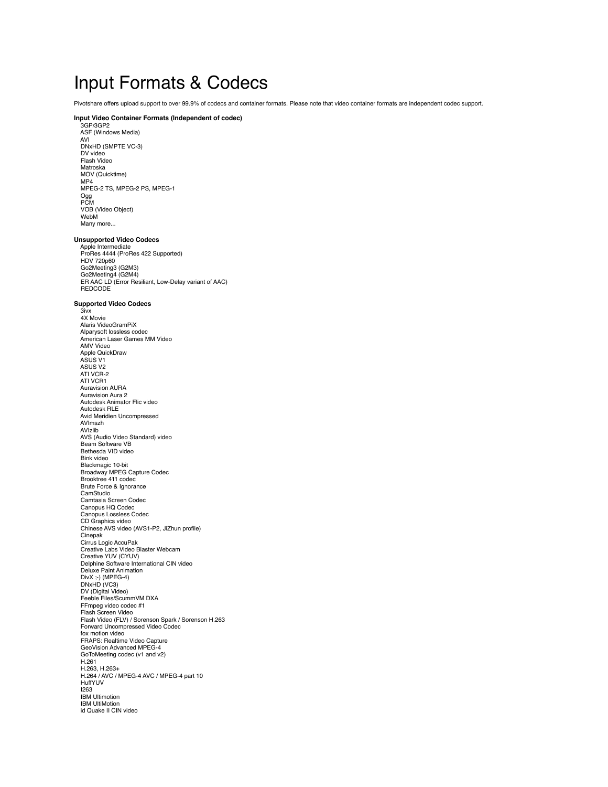# Input Formats & Codecs

Pivotshare offers upload support to over 99.9% of codecs and container formats. Please note that video container formats are independent codec support.

### **Input Video Container Formats (Independent of codec)**

 3GP/3GP2 ASF (Windows Media) AVI DNxHD (SMPTE VC-3) DV video Flash Video Matroska MOV (Quicktime) MP4 MPEG-2 TS, MPEG-2 PS, MPEG-1 Ogg PCM VOB (Video Object) WebM Many more...

Unsupported Video Codecs<br>
Apple Intermediate<br>
ProRes 4444 (ProRes 422 Supported)<br>
HDV 720p60 Go2Meeting3 (G2M3) Go2Meeting4 (G2M4) ER AAC LD (Error Resiliant, Low-Delay variant of AAC) REDCODE

### **Supported Video Codecs**

 3ivx 4X Movie Alaris VideoGramPiX Alparysoft lossless codec American Laser Games MM Video AMV Video Apple QuickDraw ASUS V1 ASUS V2 ATI VCR-2 ATI VCR1 Auravision AURA Auravision Aura 2 Autodesk Animator Flic video Autodesk RLE Avid Meridien Uncompressed AVImszh AVIzlib AVS (Audio Video Standard) video Beam Software VB Bethesda VID video Bink video Blackmagic 10-bit Broadway MPEG Capture Codec Brooktree 411 codec Brute Force & Ignorance CamStudio Camtasia Screen Codec Canopus HQ Codec Canopus Lossless Codec CD Graphics video Chinese AVS video (AVS1-P2, JiZhun profile) Cinepak Cirrus Logic AccuPak Creative Labs Video Blaster Webcam Creative YUV (CYUV) Delphine Software International CIN video Deluxe Paint Animation DivX ;-) (MPEG-4) DNxHD (VC3) DV (Digital Video) Feeble Files/ScummVM DXA FFmpeg video codec #1 Flash Screen Video Flash Video (FLV) / Sorenson Spark / Sorenson H.263 Forward Uncompressed Video Codec fox motion video FRAPS: Realtime Video Capture GeoVision Advanced MPEG-4 GoToMeeting codec (v1 and v2) H.261<br>H.263, H.263+ H.263, H.263+ H.264 / AVC / MPEG-4 AVC / MPEG-4 part 10 HuffYUV I263 IBM Ultimotion IBM UltiMotion id Quake II CIN video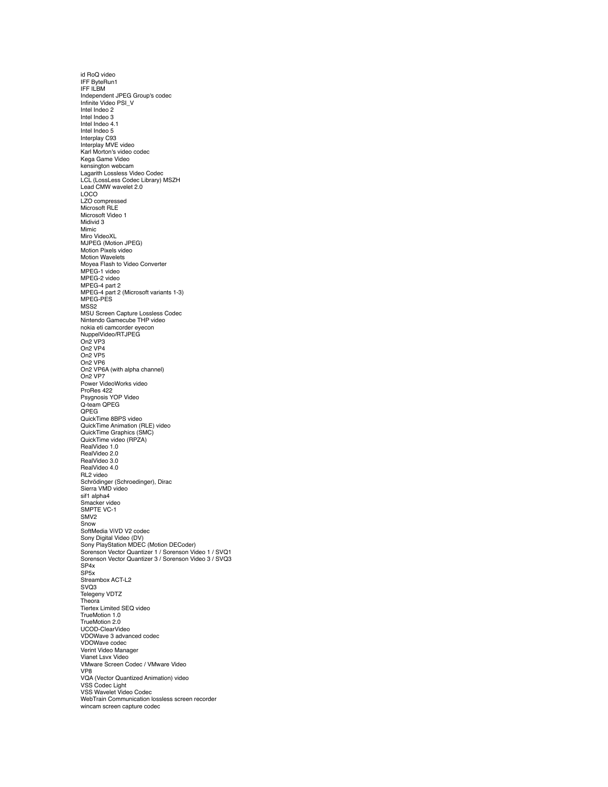id RoQ video IFF ByteRun1 IFF ILBM Independent JPEG Group's codec Infinite Video PSI\_V Intel Indeo 2 Intel Indeo 3 Intel Indeo 4.1 Intel Indeo 5 Interplay C93 Interplay MVE video Karl Morton's video codec Kega Game Video kensington webcam Lagarith Lossless Video Codec LCL (LossLess Codec Library) MSZH Lead CMW wavelet 2.0 LOCO LZO compressed Microsoft RLE Microsoft Video 1 Midivid 3 Mimic Miro VideoXL MJPEG (Motion JPEG) Motion Pixels video Motion Wavelets Moyea Flash to Video Converter MPEG-1 video MPEG-2 video MPEG-4 part 2 MPEG-4 part 2 (Microsoft variants 1-3) MPEG-PES MSS2 MSU Screen Capture Lossless Codec Nintendo Gamecube THP video nokia eti camcorder eyecon NuppelVideo/RTJPEG On2 VP3 On2 VP4 On2 VP5 On2 VP6 On2 VP6A (with alpha channel) On2 VP7 Power VideoWorks video ProRes 422 Psygnosis YOP Video Q-team QPEG QPEG QuickTime 8BPS video QuickTime Animation (RLE) video QuickTime Graphics (SMC) QuickTime video (RPZA) RealVideo 1.0 RealVideo 2.0 RealVideo 3.0 RealVideo 4.0 RL2 video Schrödinger (Schroedinger), Dirac Sierra VMD video sif1 alpha4 Smacker video SMPTE VC-1 SMV2 Snow SoftMedia ViVD V2 codec Sony Digital Video (DV) Sony PlayStation MDEC (Motion DECoder) Sorenson Vector Quantizer 1 / Sorenson Video 1 / SVQ1 Sorenson Vector Quantizer 3 / Sorenson Video 3 / SVQ3 SP4x SP<sub>5x</sub> Streambox ACT-L2 SVQ3 Telegeny VDTZ Theora Tiertex Limited SEQ video TrueMotion 1.0 TrueMotion 2.0 UCOD-ClearVideo VDOWave 3 advanced codec VDOWave codec Verint Video Manager Vianet Lsvx Video VMware Screen Codec / VMware Video VP8 VQA (Vector Quantized Animation) video VSS Codec Light VSS Wavelet Video Codec WebTrain Communication lossless screen recorder wincam screen capture codec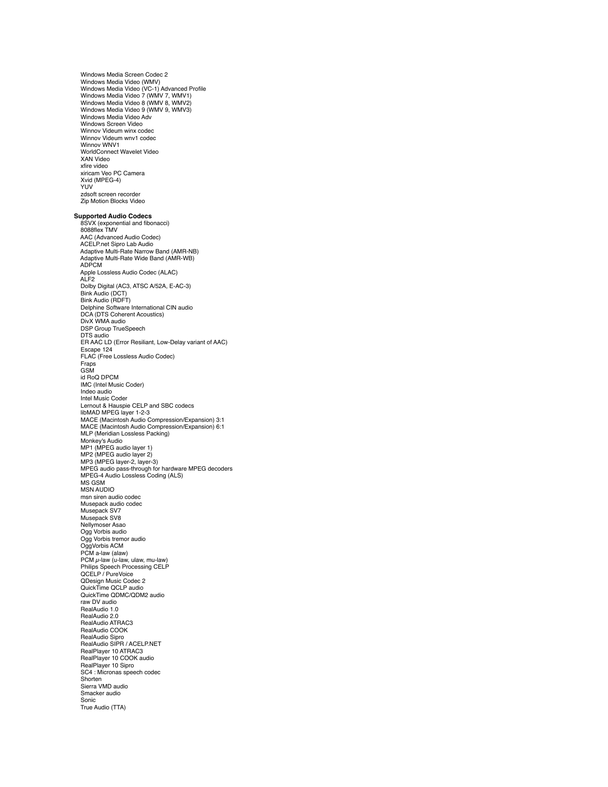Windows Media Screen Codec 2 Windows Media Video (WMV) Windows Media Video (VC-1) Advanced Profile Windows Media Video 7 (WMV 7, WMV1) Windows Media Video 8 (WMV 8, WMV2) Windows Media Video 9 (WMV 9, WMV3) Windows Media Video Adv Windows Screen Video Winnov Videum winx codec Winnov Videum wnv1 codec Winnov WNV1 WorldConnect Wavelet Video XAN Video xfire video xiricam Veo PC Camera Xvid (MPEG-4) YUV zdsoft screen recorder Zip Motion Blocks Video

## **Supported Audio Codecs**

 8SVX (exponential and fibonacci) 8088flex TMV AAC (Advanced Audio Codec) ACELP.net Sipro Lab Audio Adaptive Multi-Rate Narrow Band (AMR-NB) Adaptive Multi-Rate Wide Band (AMR-WB) ADPCM Apple Lossless Audio Codec (ALAC) ALF2 Dolby Digital (AC3, ATSC A/52A, E-AC-3) Bink Audio (DCT) Bink Audio (RDFT) Delphine Software International CIN audio DCA (DTS Coherent Acoustics) DivX WMA audio DSP Group TrueSpeech DTS audio ER AAC LD (Error Resiliant, Low-Delay variant of AAC) Escape 124 FLAC (Free Lossless Audio Codec) Fraps GSM id RoQ DPCM IMC (Intel Music Coder) Indeo audio Intel Music Coder Lernout & Hauspie CELP and SBC codecs libMAD MPEG layer 1-2-3 MACE (Macintosh Audio Compression/Expansion) 3:1 MACE (Macintosh Audio Compression/Expansion) 6:1 MLP (Meridian Lossless Packing) Monkey's Audio MP1 (MPEG audio layer 1) MP2 (MPEG audio layer 2) MP3 (MPEG layer-2, layer-3) MPEG audio pass-through for hardware MPEG decoders MPEG-4 Audio Lossless Coding (ALS) MS GSM MSN AUDIO msn siren audio codec Musepack audio codec Musepack SV7 Musepack SV8 Nellymoser Asao Ogg Vorbis audio Ogg Vorbis tremor audio OggVorbis ACM PCM a-law (alaw)<br>PCM μ-law (u-law, ulaw, mu-law)<br>Philips Speech Processing CELP QCELP / PureVoice QDesign Music Codec 2 QuickTime QCLP audio QuickTime QDMC/QDM2 audio raw DV audio RealAudio 1.0 RealAudio 2.0 RealAudio ATRAC3 RealAudio COOK RealAudio Sipro RealAudio SIPR / ACELP.NET RealPlayer 10 ATRAC3 RealPlayer 10 COOK audio RealPlayer 10 Sipro SC4 : Micronas speech codec Shorten Sierra VMD audio Smacker audio Sonic True Audio (TTA)